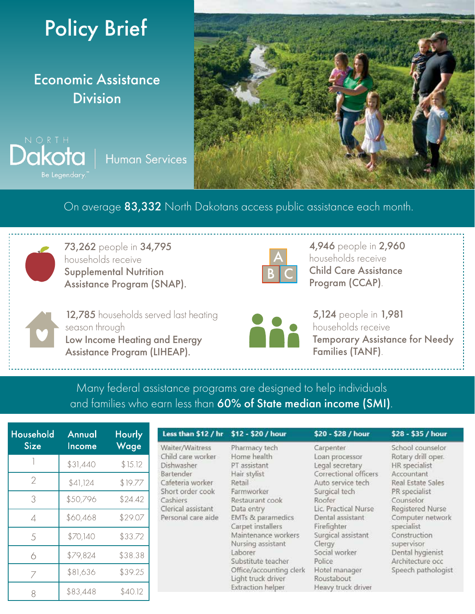

Economic Assistance Division

Dakota **Human Services** Be Legendary.



On average 83,332 North Dakotans access public assistance each month.



73,262 people in 34,795 households receive Supplemental Nutrition Assistance Program (SNAP).



4,946 people in 2,960 households receive Child Care Assistance Program (CCAP).

12,785 households served last heating season through Low Income Heating and Energy Assistance Program (LIHEAP).



5,124 people in 1,981 households receive Temporary Assistance for Needy Families (TANF).

Many federal assistance programs are designed to help individuals and families who earn less than 60% of State median income (SMI).

Less than \$12 / hr \$12 - \$20 / hour

| Household<br>Size | Annual<br>Income | Hourly<br>Wage |
|-------------------|------------------|----------------|
|                   | \$31,440         | \$15.12        |
| $\mathcal{D}$     | \$41,124         | \$19.77        |
| 3                 | \$50,796         | \$24.42        |
| 4                 | \$60,468         | \$29.07        |
| 5                 | \$70,140         | \$33.72        |
| 6                 | \$79,824         | \$38.38        |
| Ϊ                 | \$81,636         | \$39.25        |
|                   | \$83,448         | \$40.12        |

| Waiter/Waitress    | Pharmacy tech     | Carpenter                         | School counsel   |
|--------------------|-------------------|-----------------------------------|------------------|
| Child care worker  | Home health       | Loan processor                    | Rotary drill ope |
| Dishwasher         | PT assistant      | Legal secretary                   | HR specialist    |
| Bartender          | Hair stylist      | Correctional officers             | Accountant       |
| Cafeteria worker   | Retail            | Auto service tech                 | Real Estate Sale |
| Short order cook   | Farmworker        | Surgical tech                     | PR specialist    |
| Cashiers           | Restaurant cook   | Roofer                            | Counselor        |
| Clerical assistant | Data entry        | Lic. Practical Nurse              | Registered Nur:  |
| Personal care aide | EMTs & paramedics | Dental assistant                  | Computer netw    |
|                    | Carpet installers | Firefighter                       | specialist       |
|                    |                   | the probability of the control of |                  |

Maintenance workers Nursing assistant Laborer Substitute teacher Office/accounting clerk Light truck driver Extraction helper

Surgical assistant Clergy Social worker Police Hotel manager Roustabout Heavy truck driver

\$20 - \$28 / hour

#### \$28 - \$35 / hour

ίē ork Construction supervisor Dental hygienist Architecture occ Speech pathologist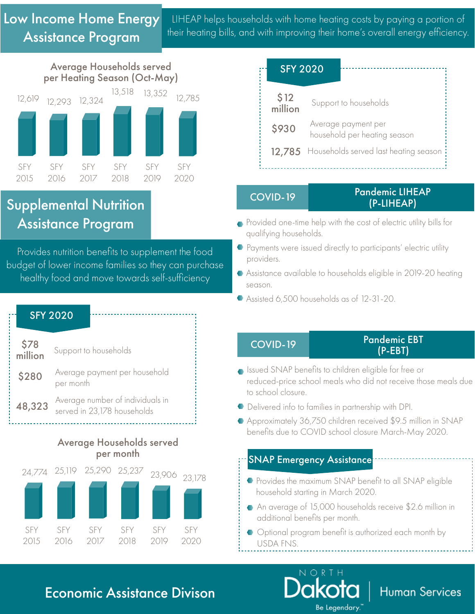LIHEAP helps households with home heating costs by paying a portion of their heating bills, and with improving their home's overall energy efficiency.



## Supplemental Nutrition Assistance Program

Provides nutrition benefits to supplement the food budget of lower income families so they can purchase healthy food and move towards self-sufficiency

| <b>SFY 2020</b> |                                                                 |  |  |  |  |
|-----------------|-----------------------------------------------------------------|--|--|--|--|
| \$78<br>million | Support to households                                           |  |  |  |  |
| \$280           | Average payment per household<br>per month                      |  |  |  |  |
| 48,323          | Average number of individuals in<br>served in 23,178 households |  |  |  |  |

### Average Households served per month



| <b>SFY 2020</b> |                                                     |
|-----------------|-----------------------------------------------------|
| \$12<br>million | Support to households                               |
| \$930           | Average payment per<br>household per heating season |
|                 | 12.785 Households served last heating season        |

#### COVID-19 Pandemic LIHEAP (P-LIHEAP)

- Provided one-time help with the cost of electric utility bills for qualifying households.
- **•** Payments were issued directly to participants' electric utility providers.
- Assistance available to households eligible in 2019-20 heating season.
- Assisted 6,500 households as of 12-31-20.

COVID-19 Pandemic EBT (P-EBT)

**Human Services** 

- Issued SNAP benefits to children eligible for free or reduced-price school meals who did not receive those meals due to school closure.
- Delivered info to families in partnership with DPI.
- Approximately 36,750 children received \$9.5 million in SNAP benefits due to COVID school closure March-May 2020.

## SNAP Emergency Assistance

- **•** Provides the maximum SNAP benefit to all SNAP eligible household starting in March 2020.
- An average of 15,000 households receive \$2.6 million in additional benefits per month.
- $\bullet$  Optional program benefit is authorized each month by USDA FNS.

**Be Legendary**